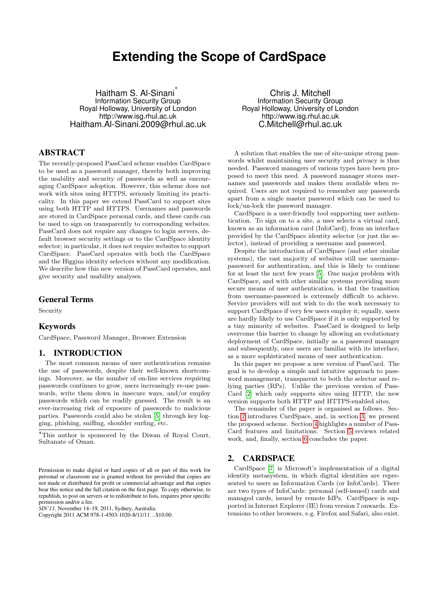# **Extending the Scope of CardSpace**

Haitham S. Al-Sinani<sup>\*</sup> Information Security Group Royal Holloway, University of London http://www.isg.rhul.ac.uk Haitham.Al-Sinani.2009@rhul.ac.uk

## ABSTRACT

The recently-proposed PassCard scheme enables CardSpace to be used as a password manager, thereby both improving the usability and security of passwords as well as encouraging CardSpace adoption. However, this scheme does not work with sites using HTTPS, seriously limiting its practicality. In this paper we extend PassCard to support sites using both HTTP and HTTPS. Usernames and passwords are stored in CardSpace personal cards, and these cards can be used to sign on transparently to corresponding websites. PassCard does not require any changes to login servers, default browser security settings or to the CardSpace identity selector; in particular, it does not require websites to support CardSpace. PassCard operates with both the CardSpace and the Higgins identity selectors without any modification. We describe how this new version of PassCard operates, and give security and usability analyses.

## General Terms

Security

# Keywords

CardSpace, Password Manager, Browser Extension

## 1. INTRODUCTION

The most common means of user authentication remains the use of passwords, despite their well-known shortcomings. Moreover, as the number of on-line services requiring passwords continues to grow, users increasingly re-use passwords, write them down in insecure ways, and/or employ passwords which can be readily guessed. The result is an ever-increasing risk of exposure of passwords to malicious parties. Passwords could also be stolen [\[5\]](#page-3-0) through key logging, phishing, sniffing, shoulder surfing, etc.

*SIN'11,* November 14–19, 2011, Sydney, Australia.

Chris J. Mitchell Information Security Group Royal Holloway, University of London http://www.isg.rhul.ac.uk C.Mitchell@rhul.ac.uk

A solution that enables the use of site-unique strong passwords whilst maintaining user security and privacy is thus needed. Password managers of various types have been proposed to meet this need. A password manager stores usernames and passwords and makes them available when required. Users are not required to remember any passwords apart from a single master password which can be used to lock/un-lock the password manager.

CardSpace is a user-friendly tool supporting user authentication. To sign on to a site, a user selects a virtual card, known as an information card (InfoCard), from an interface provided by the CardSpace identity selector (or just the selector), instead of providing a username and password.

Despite the introduction of CardSpace (and other similar systems), the vast majority of websites still use usernamepassword for authentication, and this is likely to continue for at least the next few years [\[5\]](#page-3-0). One major problem with CardSpace, and with other similar systems providing more secure means of user authentication, is that the transition from username-password is extremely difficult to achieve. Service providers will not wish to do the work necessary to support CardSpace if very few users employ it; equally, users are hardly likely to use CardSpace if it is only supported by a tiny minority of websites. PassCard is designed to help overcome this barrier to change by allowing an evolutionary deployment of CardSpace, initially as a password manager and subsequently, once users are familiar with its interface, as a more sophisticated means of user authentication.

In this paper we propose a new version of PassCard. The goal is to develop a simple and intuitive approach to password management, transparent to both the selector and relying parties (RPs). Unlike the previous version of Pass-Card [\[2\]](#page-3-1) which only supports sites using HTTP, the new version supports both HTTP and HTTPS-enabled sites.

The remainder of the paper is organised as follows. Section [2](#page-0-0) introduces CardSpace, and, in section [3,](#page-1-0) we present the proposed scheme. Section [4](#page-2-0) highlights a number of Pass-Card features and limitations. Section [5](#page-3-2) reviews related work, and, finally, section [6](#page-3-3) concludes the paper.

## <span id="page-0-0"></span>2. CARDSPACE

CardSpace [\[7\]](#page-3-4) is Microsoft's implementation of a digital identity metasystem, in which digital identities are represented to users as Information Cards (or InfoCards). There are two types of InfoCards: personal (self-issued) cards and managed cards, issued by remote IdPs. CardSpace is supported in Internet Explorer (IE) from version 7 onwards. Extensions to other browsers, e.g. Firefox and Safari, also exist.

<sup>∗</sup>This author is sponsored by the Diwan of Royal Court, Sultanate of Oman.

Permission to make digital or hard copies of all or part of this work for personal or classroom use is granted without fee provided that copies are not made or distributed for profit or commercial advantage and that copies bear this notice and the full citation on the first page. To copy otherwise, to republish, to post on servers or to redistribute to lists, requires prior specific permission and/or a fee.

Copyright 2011 ACM 978-1-4503-1020-8/11/11 ...\$10.00.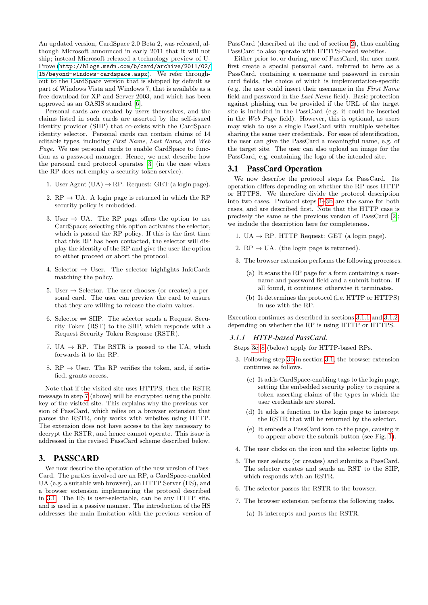An updated version, CardSpace 2.0 Beta 2, was released, although Microsoft announced in early 2011 that it will not ship; instead Microsoft released a technology preview of U-Prove ([http://blogs.msdn.com/b/card/archive/2011/02/](http://blogs.msdn.com/b/card/archive/2011/02/15/beyond-windows-cardspace.aspx) [15/beyond-windows-cardspace.aspx](http://blogs.msdn.com/b/card/archive/2011/02/15/beyond-windows-cardspace.aspx)). We refer throughout to the CardSpace version that is shipped by default as part of Windows Vista and Windows 7, that is available as a free download for XP and Server 2003, and which has been approved as an OASIS standard [\[6\]](#page-3-5).

Personal cards are created by users themselves, and the claims listed in such cards are asserted by the self-issued identity provider (SIIP) that co-exists with the CardSpace identity selector. Personal cards can contain claims of 14 editable types, including First Name, Last Name, and Web Page. We use personal cards to enable CardSpace to function as a password manager. Hence, we next describe how the personal card protocol operates [\[3\]](#page-3-6) (in the case where the RP does not employ a security token service).

- 1. User Agent  $(UA) \rightarrow RP$ . Request: GET (a login page).
- 2. RP  $\rightarrow$  UA. A login page is returned in which the RP security policy is embedded.
- 3. User  $\rightarrow$  UA. The RP page offers the option to use CardSpace; selecting this option activates the selector, which is passed the RP policy. If this is the first time that this RP has been contacted, the selector will display the identity of the RP and give the user the option to either proceed or abort the protocol.
- 4. Selector  $\rightarrow$  User. The selector highlights InfoCards matching the policy.
- 5. User  $\rightarrow$  Selector. The user chooses (or creates) a personal card. The user can preview the card to ensure that they are willing to release the claim values.
- 6. Selector  $\rightleftharpoons$  SIIP. The selector sends a Request Security Token (RST) to the SIIP, which responds with a Request Security Token Response (RSTR).
- <span id="page-1-1"></span>7. UA  $\rightarrow$  RP. The RSTR is passed to the UA, which forwards it to the RP.
- 8. RP  $\rightarrow$  User. The RP verifies the token, and, if satisfied, grants access.

Note that if the visited site uses HTTPS, then the RSTR message in step [7](#page-1-1) (above) will be encrypted using the public key of the visited site. This explains why the previous version of PassCard, which relies on a browser extension that parses the RSTR, only works with websites using HTTP. The extension does not have access to the key necessary to decrypt the RSTR, and hence cannot operate. This issue is addressed in the revised PassCard scheme described below.

## <span id="page-1-0"></span>3. PASSCARD

We now describe the operation of the new version of Pass-Card. The parties involved are an RP, a CardSpace-enabled UA (e.g. a suitable web browser), an HTTP Server (HS), and a browser extension implementing the protocol described in [3.1.](#page-1-2) The HS is user-selectable, can be any HTTP site, and is used in a passive manner. The introduction of the HS addresses the main limitation with the previous version of

PassCard (described at the end of section [2\)](#page-0-0), thus enabling PassCard to also operate with HTTPS-based websites.

Either prior to, or during, use of PassCard, the user must first create a special personal card, referred to here as a PassCard, containing a username and password in certain card fields, the choice of which is implementation-specific (e.g. the user could insert their username in the First Name field and password in the Last Name field). Basic protection against phishing can be provided if the URL of the target site is included in the PassCard (e.g. it could be inserted in the Web Page field). However, this is optional, as users may wish to use a single PassCard with multiple websites sharing the same user credentials. For ease of identification, the user can give the PassCard a meaningful name, e.g. of the target site. The user can also upload an image for the PassCard, e.g. containing the logo of the intended site.

## <span id="page-1-2"></span>3.1 PassCard Operation

We now describe the protocol steps for PassCard. Its operation differs depending on whether the RP uses HTTP or HTTPS. We therefore divide the protocol description into two cases. Protocol steps [1–](#page-1-3)[3b](#page-1-4) are the same for both cases, and are described first. Note that the HTTP case is precisely the same as the previous version of PassCard [\[2\]](#page-3-1); we include the description here for completeness.

- <span id="page-1-3"></span>1. UA  $\rightarrow$  RP. HTTP Request: GET (a login page).
- 2.  $RP \rightarrow UA$ . (the login page is returned).
- 3. The browser extension performs the following processes.
	- (a) It scans the RP page for a form containing a username and password field and a submit button. If all found, it continues; otherwise it terminates.
	- (b) It determines the protocol (i.e. HTTP or HTTPS) in use with the RP.

<span id="page-1-4"></span>Execution continues as described in sections [3.1.1](#page-1-5) and [3.1.2,](#page-2-1) depending on whether the RP is using HTTP or HTTPS.

#### <span id="page-1-5"></span>*3.1.1 HTTP-based PassCard.*

Steps [3c–](#page-1-6)[8](#page-2-2) (below) apply for HTTP-based RPs.

- <span id="page-1-6"></span>3. Following step [3b](#page-1-4) in section [3.1,](#page-1-2) the browser extension continues as follows.
	- (c) It adds CardSpace-enabling tags to the login page, setting the embedded security policy to require a token asserting claims of the types in which the user credentials are stored.
	- (d) It adds a function to the login page to intercept the RSTR that will be returned by the selector.
	- (e) It embeds a PassCard icon to the page, causing it to appear above the submit button (see Fig. [1\)](#page-2-3).
- <span id="page-1-7"></span>4. The user clicks on the icon and the selector lights up.
- <span id="page-1-8"></span>5. The user selects (or creates) and submits a PassCard. The selector creates and sends an RST to the SIIP, which responds with an RSTR.
- 6. The selector passes the RSTR to the browser.
- 7. The browser extension performs the following tasks.
	- (a) It intercepts and parses the RSTR.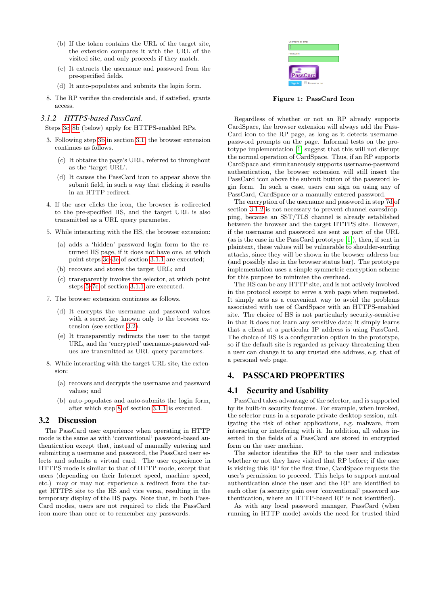- (b) If the token contains the URL of the target site, the extension compares it with the URL of the visited site, and only proceeds if they match.
- <span id="page-2-6"></span>(c) It extracts the username and password from the pre-specified fields.
- (d) It auto-populates and submits the login form.
- <span id="page-2-2"></span>8. The RP verifies the credentials and, if satisfied, grants access.

#### <span id="page-2-1"></span>*3.1.2 HTTPS-based PassCard.*

Steps [3c–](#page-2-4)[8b](#page-2-5) (below) apply for HTTPS-enabled RPs.

- <span id="page-2-4"></span>3. Following step [3b](#page-1-4) in section [3.1,](#page-1-2) the browser extension continues as follows.
	- (c) It obtains the page's URL, referred to throughout as the 'target URL'.
	- (d) It causes the PassCard icon to appear above the submit field, in such a way that clicking it results in an HTTP redirect.
- 4. If the user clicks the icon, the browser is redirected to the pre-specified HS, and the target URL is also transmitted as a URL query parameter.
- 5. While interacting with the HS, the browser extension:
	- (a) adds a 'hidden' password login form to the returned HS page, if it does not have one, at which point steps [3c](#page-1-6)[–3e](#page-1-7) of section [3.1.1](#page-1-5) are executed;
	- (b) recovers and stores the target URL; and
	- (c) transparently invokes the selector, at which point steps [5–](#page-1-8)[7c](#page-2-6) of section [3.1.1](#page-1-5) are executed.
- <span id="page-2-8"></span>7. The browser extension continues as follows.
	- (d) It encrypts the username and password values with a secret key known only to the browser extension (see section [3.2\)](#page-2-7).
	- (e) It transparently redirects the user to the target URL, and the 'encrypted' username-password values are transmitted as URL query parameters.
- 8. While interacting with the target URL site, the extension:
	- (a) recovers and decrypts the username and password values; and
	- (b) auto-populates and auto-submits the login form, after which step [8](#page-2-2) of section [3.1.1](#page-1-5) is executed.

## <span id="page-2-7"></span><span id="page-2-5"></span>3.2 Discussion

The PassCard user experience when operating in HTTP mode is the same as with 'conventional' password-based authentication except that, instead of manually entering and submitting a username and password, the PassCard user selects and submits a virtual card. The user experience in HTTPS mode is similar to that of HTTP mode, except that users (depending on their Internet speed, machine speed, etc.) may or may not experience a redirect from the target HTTPS site to the HS and vice versa, resulting in the temporary display of the HS page. Note that, in both Pass-Card modes, users are not required to click the PassCard icon more than once or to remember any passwords.

<span id="page-2-3"></span>

Figure 1: PassCard Icon

Regardless of whether or not an RP already supports CardSpace, the browser extension will always add the Pass-Card icon to the RP page, as long as it detects usernamepassword prompts on the page. Informal tests on the prototype implementation [\[1\]](#page-3-7) suggest that this will not disrupt the normal operation of CardSpace. Thus, if an RP supports CardSpace and simultaneously supports username-password authentication, the browser extension will still insert the PassCard icon above the submit button of the password login form. In such a case, users can sign on using any of PassCard, CardSpace or a manually entered password.

The encryption of the username and password in step [7d](#page-2-8) of section [3.1.2](#page-2-1) is not necessary to prevent channel eavesdropping, because an SST/TLS channel is already established between the browser and the target HTTPS site. However, if the username and password are sent as part of the URL (as is the case in the PassCard prototype [\[1\]](#page-3-7)), then, if sent in plaintext, these values will be vulnerable to shoulder-surfing attacks, since they will be shown in the browser address bar (and possibly also in the browser status bar). The prototype implementation uses a simple symmetric encryption scheme for this purpose to minimise the overhead.

The HS can be any HTTP site, and is not actively involved in the protocol except to serve a web page when requested. It simply acts as a convenient way to avoid the problems associated with use of CardSpace with an HTTPS-enabled site. The choice of HS is not particularly security-sensitive in that it does not learn any sensitive data; it simply learns that a client at a particular IP address is using PassCard. The choice of HS is a configuration option in the prototype, so if the default site is regarded as privacy-threatening then a user can change it to any trusted site address, e.g. that of a personal web page.

# <span id="page-2-0"></span>4. PASSCARD PROPERTIES

## 4.1 Security and Usability

PassCard takes advantage of the selector, and is supported by its built-in security features. For example, when invoked, the selector runs in a separate private desktop session, mitigating the risk of other applications, e.g. malware, from interacting or interfering with it. In addition, all values inserted in the fields of a PassCard are stored in encrypted form on the user machine.

The selector identifies the RP to the user and indicates whether or not they have visited that RP before; if the user is visiting this RP for the first time, CardSpace requests the user's permission to proceed. This helps to support mutual authentication since the user and the RP are identified to each other (a security gain over 'conventional' password authentication, where an HTTP-based RP is not identified).

As with any local password manager, PassCard (when running in HTTP mode) avoids the need for trusted third